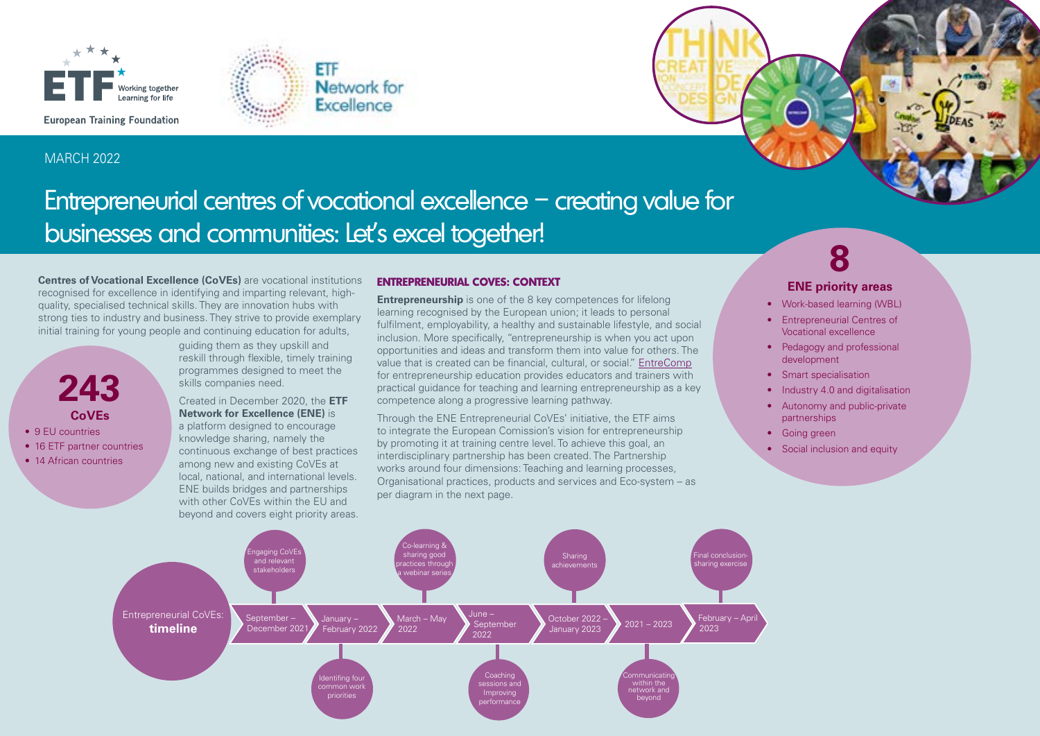



## MARCH 2022

# Entrepreneurial centres of vocational excellence – creating value for businesses and communities: Let's excel together!

**Centres of Vocational Excellence (CoVEs)** are vocational institutions recognised for excellence in identifying and imparting relevant, highquality, specialised technical skills. They are innovation hubs with strong ties to industry and business. They strive to provide exemplary initial training for young people and continuing education for adults,

**243 CoVEs** • 9 EU countries • 16 FTF partner countries • 14 African countries

guiding them as they upskill and reskill through flexible, timely training programmes designed to meet the skills companies need.

Created in December 2020, the **ETF Network for Excellence (ENE)** is a platform designed to encourage knowledge sharing, namely the continuous exchange of best practices among new and existing CoVEs at local, national, and international levels. ENE builds bridges and partnerships with other CoVEs within the EU and beyond and covers eight priority areas.

#### **ENTREPRENEURIAL COVES: CONTEXT**

**Entrepreneurship** is one of the 8 key competences for lifelong learning recognised by the European union; it leads to personal fulfilment, employability, a healthy and sustainable lifestyle, and social inclusion. More specifically, "entrepreneurship is when you act upon opportunities and ideas and transform them into value for others. The value that is created can be financial, cultural, or social." **[EntreComp](https://publications.jrc.ec.europa.eu/repository/handle/JRC101581)** for entrepreneurship education provides educators and trainers with practical guidance for teaching and learning entrepreneurship as a key competence along a progressive learning pathway.

Through the ENE Entrepreneurial CoVEs' initiative, the ETF aims to integrate the European Comission's vision for entrepreneurship by promoting it at training centre level. To achieve this goal, an interdisciplinary partnership has been created. The Partnership works around four dimensions: Teaching and learning processes, Organisational practices, products and services and Eco-system – as per diagram in the next page.

## **ENE priority areas**

**8**

- Work-based learning (WBL)
- Entrepreneurial Centres of Vocational excellence
- Pedagogy and professional development
- Smart specialisation
- Industry 4.0 and digitalisation
- Autonomy and public-private partnerships
- Going green
- Social inclusion and equity